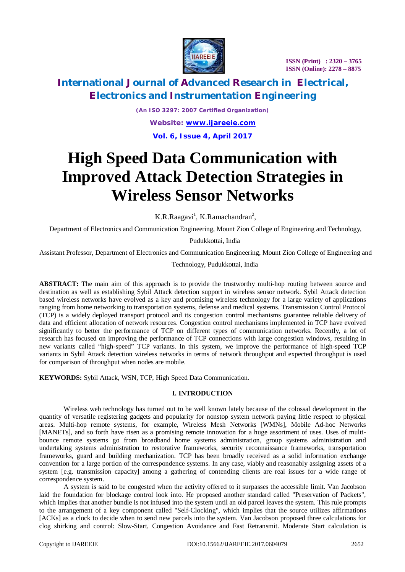

### **International Journal of Advanced Research in Electrical, Electronics and Instrumentation Engineering**

*(An ISO 3297: 2007 Certified Organization) Website: [www.ijareeie.com](http://www.ijareeie.com)*

**Vol. 6, Issue 4, April 2017**

# **High Speed Data Communication with Improved Attack Detection Strategies in Wireless Sensor Networks**

K.R.Raagavi<sup>1</sup>, K.Ramachandran<sup>2</sup>,

Department of Electronics and Communication Engineering, Mount Zion College of Engineering and Technology,

Pudukkottai, India

Assistant Professor, Department of Electronics and Communication Engineering, Mount Zion College of Engineering and

Technology, Pudukkottai, India

**ABSTRACT:** The main aim of this approach is to provide the trustworthy multi-hop routing between source and destination as well as establishing Sybil Attack detection support in wireless sensor network. Sybil Attack detection based wireless networks have evolved as a key and promising wireless technology for a large variety of applications ranging from home networking to transportation systems, defense and medical systems. Transmission Control Protocol (TCP) is a widely deployed transport protocol and its congestion control mechanisms guarantee reliable delivery of data and efficient allocation of network resources. Congestion control mechanisms implemented in TCP have evolved significantly to better the performance of TCP on different types of communication networks. Recently, a lot of research has focused on improving the performance of TCP connections with large congestion windows, resulting in new variants called "high-speed" TCP variants. In this system, we improve the performance of high-speed TCP variants in Sybil Attack detection wireless networks in terms of network throughput and expected throughput is used for comparison of throughput when nodes are mobile.

**KEYWORDS:** Sybil Attack, WSN, TCP, High Speed Data Communication.

#### **I. INTRODUCTION**

Wireless web technology has turned out to be well known lately because of the colossal development in the quantity of versatile registering gadgets and popularity for nonstop system network paying little respect to physical areas. Multi-hop remote systems, for example, Wireless Mesh Networks [WMNs], Mobile Ad-hoc Networks [MANETs], and so forth have risen as a promising remote innovation for a huge assortment of uses. Uses of multibounce remote systems go from broadband home systems administration, group systems administration and undertaking systems administration to restorative frameworks, security reconnaissance frameworks, transportation frameworks, guard and building mechanization. TCP has been broadly received as a solid information exchange convention for a large portion of the correspondence systems. In any case, viably and reasonably assigning assets of a system [e.g. transmission capacity] among a gathering of contending clients are real issues for a wide range of correspondence system.

A system is said to be congested when the activity offered to it surpasses the accessible limit. Van Jacobson laid the foundation for blockage control look into. He proposed another standard called "Preservation of Packets", which implies that another bundle is not infused into the system until an old parcel leaves the system. This rule prompts to the arrangement of a key component called "Self-Clocking", which implies that the source utilizes affirmations [ACKs] as a clock to decide when to send new parcels into the system. Van Jacobson proposed three calculations for clog shirking and control: Slow-Start, Congestion Avoidance and Fast Retransmit. Moderate Start calculation is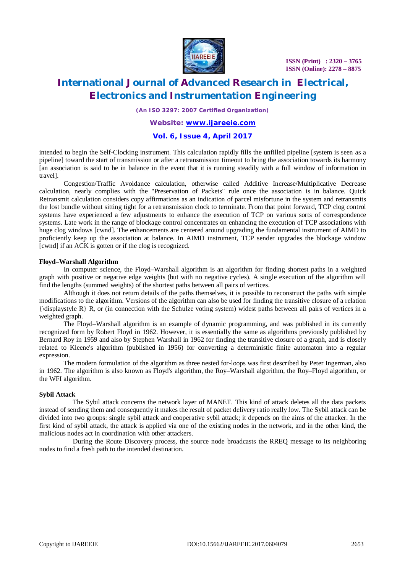

# **International Journal of Advanced Research in Electrical, Electronics and Instrumentation Engineering**

*(An ISO 3297: 2007 Certified Organization)*

#### *Website: [www.ijareeie.com](http://www.ijareeie.com)*

#### **Vol. 6, Issue 4, April 2017**

intended to begin the Self-Clocking instrument. This calculation rapidly fills the unfilled pipeline [system is seen as a pipeline] toward the start of transmission or after a retransmission timeout to bring the association towards its harmony [an association is said to be in balance in the event that it is running steadily with a full window of information in travel].

Congestion/Traffic Avoidance calculation, otherwise called Additive Increase/Multiplicative Decrease calculation, nearly complies with the "Preservation of Packets" rule once the association is in balance. Quick Retransmit calculation considers copy affirmations as an indication of parcel misfortune in the system and retransmits the lost bundle without sitting tight for a retransmission clock to terminate. From that point forward, TCP clog control systems have experienced a few adjustments to enhance the execution of TCP on various sorts of correspondence systems. Late work in the range of blockage control concentrates on enhancing the execution of TCP associations with huge clog windows [cwnd]. The enhancements are centered around upgrading the fundamental instrument of AIMD to proficiently keep up the association at balance. In AIMD instrument, TCP sender upgrades the blockage window [cwnd] if an ACK is gotten or if the clog is recognized.

#### **Floyd–Warshall Algorithm**

In computer science, the Floyd–Warshall algorithm is an algorithm for finding shortest paths in a weighted graph with positive or negative edge weights (but with no negative cycles). A single execution of the algorithm will find the lengths (summed weights) of the shortest paths between all pairs of vertices.

Although it does not return details of the paths themselves, it is possible to reconstruct the paths with simple modifications to the algorithm. Versions of the algorithm can also be used for finding the transitive closure of a relation  ${\displaystyle {\sinh} R}$ , or (in connection with the Schulze voting system) widest paths between all pairs of vertices in a weighted graph.

The Floyd–Warshall algorithm is an example of dynamic programming, and was published in its currently recognized form by Robert Floyd in 1962. However, it is essentially the same as algorithms previously published by Bernard Roy in 1959 and also by Stephen Warshall in 1962 for finding the transitive closure of a graph, and is closely related to Kleene's algorithm (published in 1956) for converting a deterministic finite automaton into a regular expression.

The modern formulation of the algorithm as three nested for-loops was first described by Peter Ingerman, also in 1962. The algorithm is also known as Floyd's algorithm, the Roy–Warshall algorithm, the Roy–Floyd algorithm, or the WFI algorithm.

#### **Sybil Attack**

The Sybil attack concerns the network layer of MANET. This kind of attack deletes all the data packets instead of sending them and consequently it makes the result of packet delivery ratio really low. The Sybil attack can be divided into two groups: single sybil attack and cooperative sybil attack; it depends on the aims of the attacker. In the first kind of sybil attack, the attack is applied via one of the existing nodes in the network, and in the other kind, the malicious nodes act in coordination with other attackers.

During the Route Discovery process, the source node broadcasts the RREQ message to its neighboring nodes to find a fresh path to the intended destination.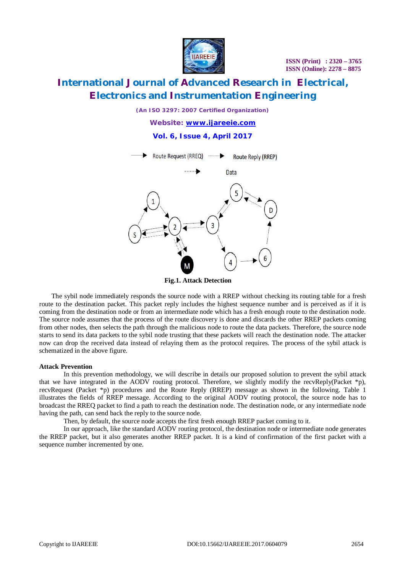

# **International Journal of Advanced Research in Electrical, Electronics and Instrumentation Engineering**

*(An ISO 3297: 2007 Certified Organization)*

*Website: [www.ijareeie.com](http://www.ijareeie.com)*

**Vol. 6, Issue 4, April 2017**



**Fig.1. Attack Detection**

The sybil node immediately responds the source node with a RREP without checking its routing table for a fresh route to the destination packet. This packet reply includes the highest sequence number and is perceived as if it is coming from the destination node or from an intermediate node which has a fresh enough route to the destination node. The source node assumes that the process of the route discovery is done and discards the other RREP packets coming from other nodes, then selects the path through the malicious node to route the data packets. Therefore, the source node starts to send its data packets to the sybil node trusting that these packets will reach the destination node. The attacker now can drop the received data instead of relaying them as the protocol requires. The process of the sybil attack is schematized in the above figure.

#### **Attack Prevention**

In this prevention methodology, we will describe in details our proposed solution to prevent the sybil attack that we have integrated in the AODV routing protocol. Therefore, we slightly modify the recvReply(Packet \*p), recvRequest (Packet \*p) procedures and the Route Reply (RREP) message as shown in the following. Table 1 illustrates the fields of RREP message. According to the original AODV routing protocol, the source node has to broadcast the RREQ packet to find a path to reach the destination node. The destination node, or any intermediate node having the path, can send back the reply to the source node.

Then, by default, the source node accepts the first fresh enough RREP packet coming to it.

In our approach, like the standard AODV routing protocol, the destination node or intermediate node generates the RREP packet, but it also generates another RREP packet. It is a kind of confirmation of the first packet with a sequence number incremented by one.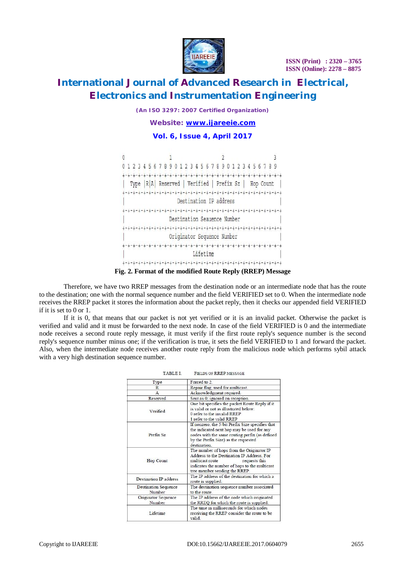

# **International Journal of Advanced Research in Electrical, Electronics and Instrumentation Engineering**

*(An ISO 3297: 2007 Certified Organization)*

*Website: [www.ijareeie.com](http://www.ijareeie.com)*

#### **Vol. 6, Issue 4, April 2017**



**Fig. 2. Format of the modified Route Reply (RREP) Message**

Therefore, we have two RREP messages from the destination node or an intermediate node that has the route to the destination; one with the normal sequence number and the field VERIFIED set to 0. When the intermediate node receives the RREP packet it stores the information about the packet reply, then it checks our appended field VERIFIED if it is set to 0 or 1.

If it is 0, that means that our packet is not yet verified or it is an invalid packet. Otherwise the packet is verified and valid and it must be forwarded to the next node. In case of the field VERIFIED is 0 and the intermediate node receives a second route reply message, it must verify if the first route reply's sequence number is the second reply's sequence number minus one; if the verification is true, it sets the field VERIFIED to 1 and forward the packet. Also, when the intermediate node receives another route reply from the malicious node which performs sybil attack with a very high destination sequence number.

| <b>TABLE I</b>                        | <b>FIELDS OF RREP MESSAGE</b>                                                                                                                                                                                 |  |
|---------------------------------------|---------------------------------------------------------------------------------------------------------------------------------------------------------------------------------------------------------------|--|
| Type                                  | Forced to 2.                                                                                                                                                                                                  |  |
| R                                     | Repair flag; used for multicast.                                                                                                                                                                              |  |
| $\mathbf{A}$                          | Acknowledgment required.                                                                                                                                                                                      |  |
| Reserved                              | Sent as 0; ignored on reception.                                                                                                                                                                              |  |
| Verified                              | One bit specifies the packet Route Reply if it<br>is valid or not as illustrated below:<br>0 refer to the invalid RREP<br>1 refer to the valid RREP                                                           |  |
| Prefix Sz                             | If nonzero, the 5-bit Prefix Size specifies that<br>the indicated next hop may be used for any<br>nodes with the same routing prefix (as defined<br>by the Prefix Size) as the requested<br>destination       |  |
| Hop Count                             | The number of hops from the Originator IP<br>Address to the Destination IP Address. For<br>multicast route<br>requests this<br>indicates the number of hops to the multicast<br>tree member sending the RREP. |  |
| <b>Destination IP address</b>         | The IP address of the destination for which a<br>route is supplied.                                                                                                                                           |  |
| <b>Destination Sequence</b><br>Number | The destination sequence number associated<br>to the route.                                                                                                                                                   |  |
| Originator Sequence<br>Number         | The IP address of the node which originated<br>the RREQ for which the route is supplied.                                                                                                                      |  |
| Lifetime                              | The time in milliseconds for which nodes<br>receiving the RREP consider the route to be<br>valid.                                                                                                             |  |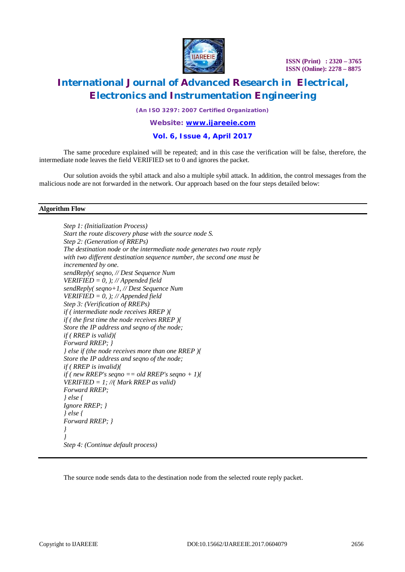

### **International Journal of Advanced Research in Electrical, Electronics and Instrumentation Engineering**

*(An ISO 3297: 2007 Certified Organization)*

#### *Website: [www.ijareeie.com](http://www.ijareeie.com)*

#### **Vol. 6, Issue 4, April 2017**

The same procedure explained will be repeated; and in this case the verification will be false, therefore, the intermediate node leaves the field VERIFIED set to 0 and ignores the packet.

Our solution avoids the sybil attack and also a multiple sybil attack. In addition, the control messages from the malicious node are not forwarded in the network. Our approach based on the four steps detailed below:

#### **Algorithm Flow**

*Step 1: (Initialization Process) Start the route discovery phase with the source node S. Step 2: (Generation of RREPs) The destination node or the intermediate node generates two route reply with two different destination sequence number, the second one must be incremented by one. sendReply( seqno, // Dest Sequence Num VERIFIED = 0, ); // Appended field sendReply( seqno+1, // Dest Sequence Num VERIFIED = 0, ); // Appended field Step 3: (Verification of RREPs) if ( intermediate node receives RREP ){ if ( the first time the node receives RREP ){ Store the IP address and seqno of the node; if ( RREP is valid){ Forward RREP; } } else if (the node receives more than one RREP ){ Store the IP address and seqno of the node; if ( RREP is invalid){ if ( new RREP's seqno == old RREP's seqno + 1){ VERIFIED = 1; //( Mark RREP as valid) Forward RREP; } else { Ignore RREP; } } else { Forward RREP; } } } Step 4: (Continue default process)*

The source node sends data to the destination node from the selected route reply packet.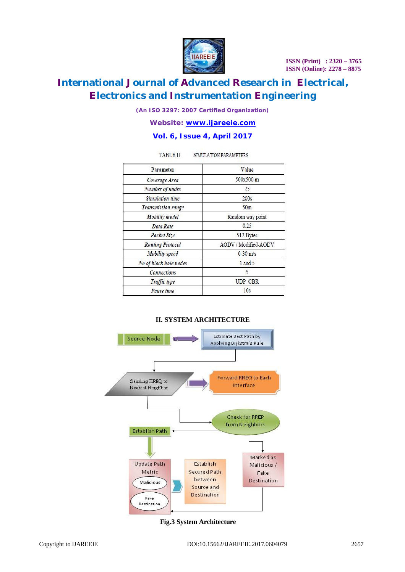

# **International Journal of Advanced Research in Electrical, Electronics and Instrumentation Engineering**

*(An ISO 3297: 2007 Certified Organization)*

*Website: [www.ijareeie.com](http://www.ijareeie.com)*

#### **Vol. 6, Issue 4, April 2017**

SIMULATION PARAMETERS

TABLE II.

| Parameter                 | Value                |  |
|---------------------------|----------------------|--|
| Coverage Area             | 500x500 m            |  |
| Number of nodes           | 25                   |  |
| Simulation time           | 200s                 |  |
| <b>Transmission range</b> | 50 <sub>m</sub>      |  |
| <b>Mobility</b> model     | Random way point     |  |
| <b>Data Rate</b>          | 0.25                 |  |
| <b>Packet Size</b>        | 512 Bytes            |  |
| <b>Routing Protocol</b>   | AODV / Modified-AODV |  |
| <b>Mobility</b> speed     | $0-30$ m/s           |  |
| No of black hole nodes    | 1 and 5              |  |
| <b>Connections</b>        | 5                    |  |
| Traffic type              | UDP-CBR              |  |
| Pause time                | 10s                  |  |



#### **II. SYSTEM ARCHITECTURE**

**Fig.3 System Architecture**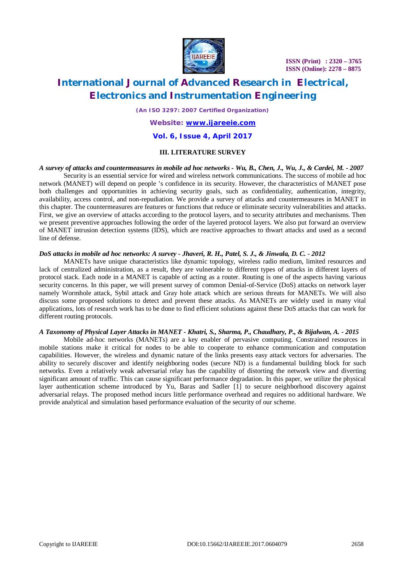

# **International Journal of Advanced Research in Electrical, Electronics and Instrumentation Engineering**

*(An ISO 3297: 2007 Certified Organization)*

*Website: [www.ijareeie.com](http://www.ijareeie.com)*

#### **Vol. 6, Issue 4, April 2017**

#### **III. LITERATURE SURVEY**

*A survey of attacks and countermeasures in mobile ad hoc networks - Wu, B., Chen, J., Wu, J., & Cardei, M. - 2007* Security is an essential service for wired and wireless network communications. The success of mobile ad hoc network (MANET) will depend on people 's confidence in its security. However, the characteristics of MANET pose both challenges and opportunities in achieving security goals, such as confidentiality, authentication, integrity, availability, access control, and non-repudiation. We provide a survey of attacks and countermeasures in MANET in this chapter. The countermeasures are features or functions that reduce or eliminate security vulnerabilities and attacks. First, we give an overview of attacks according to the protocol layers, and to security attributes and mechanisms. Then we present preventive approaches following the order of the layered protocol layers. We also put forward an overview of MANET intrusion detection systems (IDS), which are reactive approaches to thwart attacks and used as a second line of defense.

#### *DoS attacks in mobile ad hoc networks: A survey - Jhaveri, R. H., Patel, S. J., & Jinwala, D. C. - 2012*

MANETs have unique characteristics like dynamic topology, wireless radio medium, limited resources and lack of centralized administration, as a result, they are vulnerable to different types of attacks in different layers of protocol stack. Each node in a MANET is capable of acting as a router. Routing is one of the aspects having various security concerns. In this paper, we will present survey of common Denial-of-Service (DoS) attacks on network layer namely Wormhole attack, Sybil attack and Gray hole attack which are serious threats for MANETs. We will also discuss some proposed solutions to detect and prevent these attacks. As MANETs are widely used in many vital applications, lots of research work has to be done to find efficient solutions against these DoS attacks that can work for different routing protocols.

#### *A Taxonomy of Physical Layer Attacks in MANET - Khatri, S., Sharma, P., Chaudhary, P., & Bijalwan, A. - 2015*

Mobile ad-hoc networks (MANETs) are a key enabler of pervasive computing. Constrained resources in mobile stations make it critical for nodes to be able to cooperate to enhance communication and computation capabilities. However, the wireless and dynamic nature of the links presents easy attack vectors for adversaries. The ability to securely discover and identify neighboring nodes (secure ND) is a fundamental building block for such networks. Even a relatively weak adversarial relay has the capability of distorting the network view and diverting significant amount of traffic. This can cause significant performance degradation. In this paper, we utilize the physical layer authentication scheme introduced by Yu, Baras and Sadler [1] to secure neighborhood discovery against adversarial relays. The proposed method incurs little performance overhead and requires no additional hardware. We provide analytical and simulation based performance evaluation of the security of our scheme.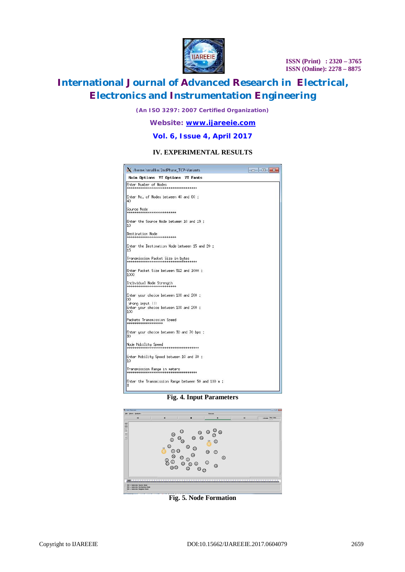

# **International Journal of Advanced Research in Electrical, Electronics and Instrumentation Engineering**

*(An ISO 3297: 2007 Certified Organization)*

*Website: [www.ijareeie.com](http://www.ijareeie.com)*

#### **Vol. 6, Issue 4, April 2017**

#### **IV. EXPERIMENTAL RESULTS**

| / /home/smallko/2ndPhase_TCP-Variants                                 | $\Box$ EX |  |  |  |
|-----------------------------------------------------------------------|-----------|--|--|--|
| Main Options VT Options VT Fonts                                      |           |  |  |  |
| Enter Number of Nodes                                                 |           |  |  |  |
| Enter No. of Nodes between 40 and 60 :<br>40                          |           |  |  |  |
| Source Node<br>***************************                            |           |  |  |  |
| Enter the Source Node between 10 and 19 :<br>10                       |           |  |  |  |
| Destination Node<br>**************************                        |           |  |  |  |
| Enter the Destination Node between 15 and 20 :<br>15                  |           |  |  |  |
| Transmission Packet Size in bytes                                     |           |  |  |  |
| Enter Packet Size between 512 and 1000 :<br>1000                      |           |  |  |  |
| Individual Node Strength<br>***************************               |           |  |  |  |
| Enter your choice between 100 and 200 :<br>00                         |           |  |  |  |
| Wrong input !!!<br>Enter your choice between 100 and 200 :<br>100     |           |  |  |  |
| Packets Transmission Speed<br>*******************                     |           |  |  |  |
| Enter your choice between 30 and 70 bps :<br>30                       |           |  |  |  |
| Node Mobility Speed                                                   |           |  |  |  |
| Enter Mobility Speed between 10 and 30 :<br>10                        |           |  |  |  |
| Transmission Range in meters<br>************************************* |           |  |  |  |
| Enter the Transmission Range between 50 and 100 m :<br>3              |           |  |  |  |

**Fig. 4. Input Parameters**



**Fig. 5. Node Formation**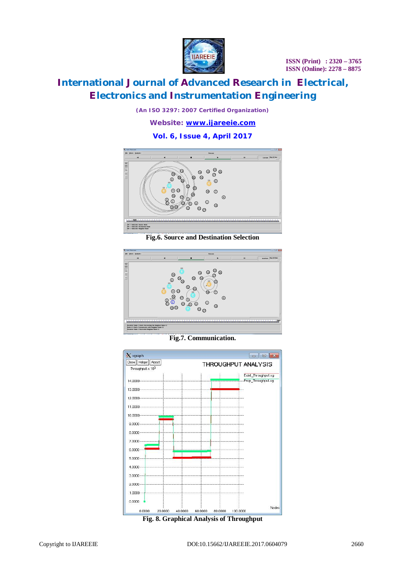

# **International Journal of Advanced Research in Electrical, Electronics and Instrumentation Engineering**

*(An ISO 3297: 2007 Certified Organization)*

*Website: [www.ijareeie.com](http://www.ijareeie.com)*

#### **Vol. 6, Issue 4, April 2017**



**Fig.6. Source and Destination Selection**



**Fig.7. Communication.**



**Fig. 8. Graphical Analysis of Throughput**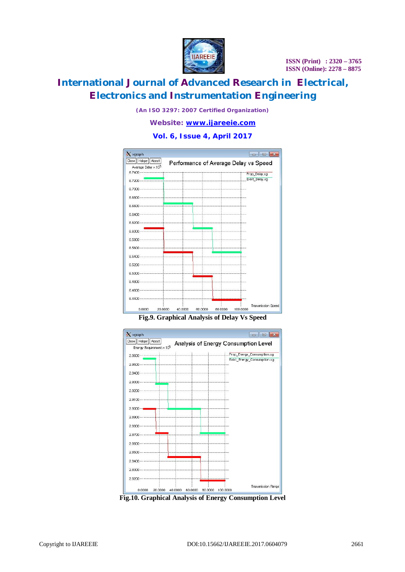

# **International Journal of Advanced Research in Electrical, Electronics and Instrumentation Engineering**

*(An ISO 3297: 2007 Certified Organization)*

*Website: [www.ijareeie.com](http://www.ijareeie.com)*

#### **Vol. 6, Issue 4, April 2017**



**Fig.9. Graphical Analysis of Delay Vs Speed**



**Fig.10. Graphical Analysis of Energy Consumption Level**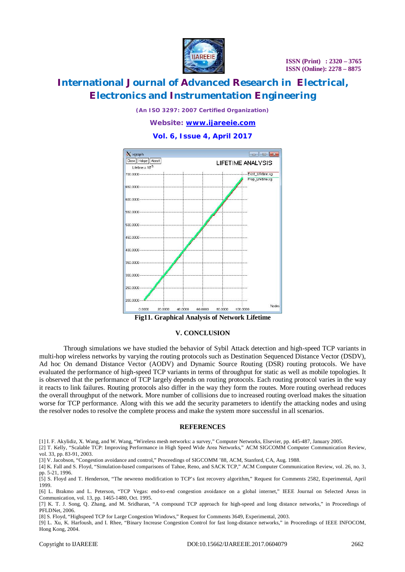

# **International Journal of Advanced Research in Electrical, Electronics and Instrumentation Engineering**

*(An ISO 3297: 2007 Certified Organization)*

*Website: [www.ijareeie.com](http://www.ijareeie.com)*

**Vol. 6, Issue 4, April 2017**



#### **V. CONCLUSION**

Through simulations we have studied the behavior of Sybil Attack detection and high-speed TCP variants in multi-hop wireless networks by varying the routing protocols such as Destination Sequenced Distance Vector (DSDV), Ad hoc On demand Distance Vector (AODV) and Dynamic Source Routing (DSR) routing protocols. We have evaluated the performance of high-speed TCP variants in terms of throughput for static as well as mobile topologies. It is observed that the performance of TCP largely depends on routing protocols. Each routing protocol varies in the way it reacts to link failures. Routing protocols also differ in the way they form the routes. More routing overhead reduces the overall throughput of the network. More number of collisions due to increased routing overload makes the situation worse for TCP performance. Along with this we add the security parameters to identify the attacking nodes and using the resolver nodes to resolve the complete process and make the system more successful in all scenarios.

#### **REFERENCES**

[1] I. F. Akylidiz, X. Wang, and W. Wang, "Wireless mesh networks: a survey," Computer Networks, Elsevier, pp. 445-487, January 2005.

[2] T. Kelly, "Scalable TCP: Improving Performance in High Speed Wide Area Networks," ACM SIGCOMM Computer Communication Review, vol. 33, pp. 83-91, 2003.

[3] V. Jacobson, "Congestion avoidance and control," Proceedings of SIGCOMM '88, ACM, Stanford, CA, Aug. 1988.

[4] K. Fall and S. Floyd, "Simulation-based comparisons of Tahoe, Reno, and SACK TCP," ACM Computer Communication Review, vol. 26, no. 3, pp. 5-21, 1996.

[5] S. Floyd and T. Henderson, "The newreno modification to TCP's fast recovery algorithm," Request for Comments 2582, Experimental, April 1999.

[6] L. Brakmo and L. Peterson, "TCP Vegas: end-to-end congestion avoidance on a global internet," IEEE Journal on Selected Areas in Communication, vol. 13, pp. 1465-1480, Oct. 1995.

[7] K. T. J. Song, Q. Zhang, and M. Sridharan, "A compound TCP approach for high-speed and long distance networks," in Proceedings of PFLDNet, 2006.

[8] S. Floyd, "Highspeed TCP for Large Congestion Windows," Request for Comments 3649, Experimental, 2003.

[9] L. Xu, K. Harfoush, and I. Rhee, "Binary Increase Congestion Control for fast long-distance networks," in Proceedings of IEEE INFOCOM, Hong Kong, 2004.